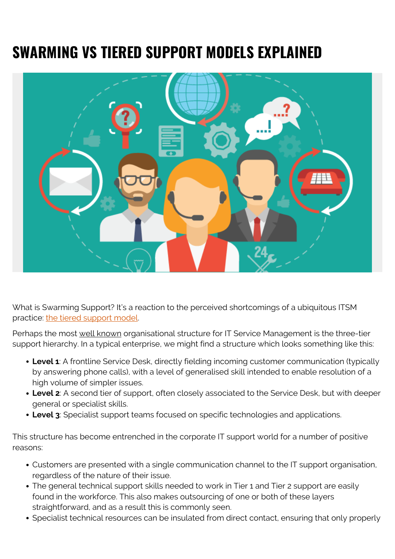# **SWARMING VS TIERED SUPPORT MODELS EXPLAINED**



What is Swarming Support? It's a reaction to the perceived shortcomings of a ubiquitous ITSM practice: [the tiered support model.](http://www.bmc.com/blogs/support-levels-level-1-level-2-level-3/)

Perhaps the most well known organisational structure for IT Service Management is the three-tier support hierarchy. In a typical enterprise, we might find a structure which looks something like this:

- **Level 1**: A frontline Service Desk, directly fielding incoming customer communication (typically by answering phone calls), with a level of generalised skill intended to enable resolution of a high volume of simpler issues.
- **Level 2**: A second tier of support, often closely associated to the Service Desk, but with deeper general or specialist skills.
- **Level 3**: Specialist support teams focused on specific technologies and applications.

This structure has become entrenched in the corporate IT support world for a number of positive reasons:

- Customers are presented with a single communication channel to the IT support organisation, regardless of the nature of their issue.
- The general technical support skills needed to work in Tier 1 and Tier 2 support are easily found in the workforce. This also makes outsourcing of one or both of these layers straightforward, and as a result this is commonly seen.
- Specialist technical resources can be insulated from direct contact, ensuring that only properly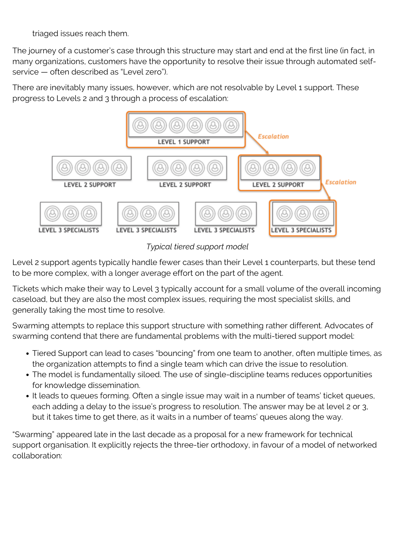triaged issues reach them.

The journey of a customer's case through this structure may start and end at the first line (in fact, in many organizations, customers have the opportunity to resolve their issue through automated selfservice — often described as "Level zero").

There are inevitably many issues, however, which are not resolvable by Level 1 support. These progress to Levels 2 and 3 through a process of escalation:



*Typical tiered support model*

Level 2 support agents typically handle fewer cases than their Level 1 counterparts, but these tend to be more complex, with a longer average effort on the part of the agent.

Tickets which make their way to Level 3 typically account for a small volume of the overall incoming caseload, but they are also the most complex issues, requiring the most specialist skills, and generally taking the most time to resolve.

Swarming attempts to replace this support structure with something rather different. Advocates of swarming contend that there are fundamental problems with the multi-tiered support model:

- Tiered Support can lead to cases "bouncing" from one team to another, often multiple times, as the organization attempts to find a single team which can drive the issue to resolution.
- The model is fundamentally siloed. The use of single-discipline teams reduces opportunities for knowledge dissemination.
- It leads to queues forming. Often a single issue may wait in a number of teams' ticket queues, each adding a delay to the issue's progress to resolution. The answer may be at level 2 or 3, but it takes time to get there, as it waits in a number of teams' queues along the way.

"Swarming" appeared late in the last decade as a proposal for a new framework for technical support organisation. It explicitly rejects the three-tier orthodoxy, in favour of a model of networked collaboration: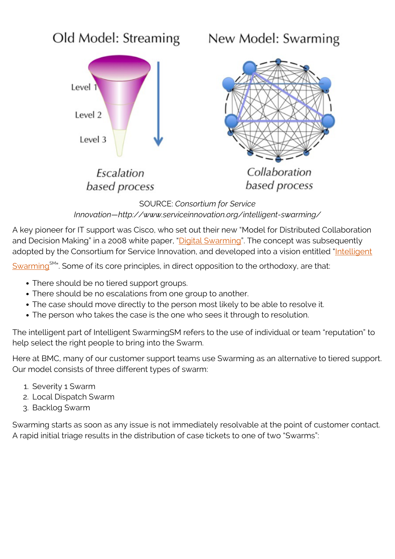

SOURCE: *Consortium for Service Innovation — http://www.serviceinnovation.org/intelligent-swarming/*

A key pioneer for IT support was Cisco, who set out their new "Model for Distributed Collaboration and Decision Making" in a 2008 white paper, "[Digital Swarming"](http://s3.amazonaws.com/connected_republic/attachments/4/Digital_Swarming_EB_0812c_FINAL.pdf). The concept was subsequently adopted by the Consortium for Service Innovation, and developed into a vision entitled ["Intelligent](http://www.serviceinnovation.org/intelligent-swarming/)

[Swarming](http://www.serviceinnovation.org/intelligent-swarming/)<sup>SM</sup>". Some of its core principles, in direct opposition to the orthodoxy, are that:

- There should be no tiered support groups.
- There should be no escalations from one group to another.
- The case should move directly to the person most likely to be able to resolve it.
- The person who takes the case is the one who sees it through to resolution.

The intelligent part of Intelligent SwarmingSM refers to the use of individual or team "reputation" to help select the right people to bring into the Swarm.

Here at BMC, many of our customer support teams use Swarming as an alternative to tiered support. Our model consists of three different types of swarm:

- 1. Severity 1 Swarm
- 2. Local Dispatch Swarm
- 3. Backlog Swarm

Swarming starts as soon as any issue is not immediately resolvable at the point of customer contact. A rapid initial triage results in the distribution of case tickets to one of two "Swarms":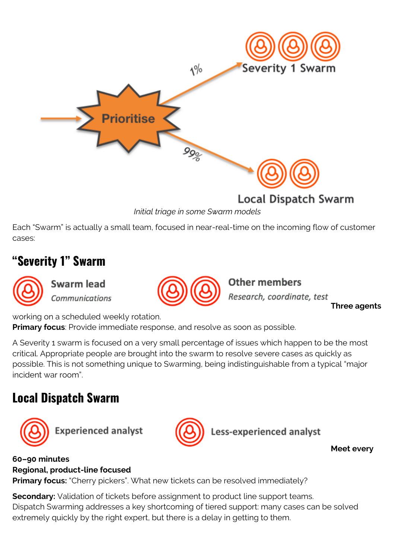

*Initial triage in some Swarm models*

Each "Swarm" is actually a small team, focused in near-real-time on the incoming flow of customer cases:

### **"Severity 1" Swarm**

Swarm lead Communications



**Other members** Research, coordinate, test

**Three agents**

working on a scheduled weekly rotation.

**Primary focus**: Provide immediate response, and resolve as soon as possible.

A Severity 1 swarm is focused on a very small percentage of issues which happen to be the most critical. Appropriate people are brought into the swarm to resolve severe cases as quickly as possible. This is not something unique to Swarming, being indistinguishable from a typical "major incident war room".

### **Local Dispatch Swarm**



**Experienced analyst** 



ess-experienced analyst

**Meet every**

#### **60–90 minutes Regional, product-line focused**

**Primary focus:** "Cherry pickers". What new tickets can be resolved immediately?

**Secondary:** Validation of tickets before assignment to product line support teams. Dispatch Swarming addresses a key shortcoming of tiered support: many cases can be solved extremely quickly by the right expert, but there is a delay in getting to them.